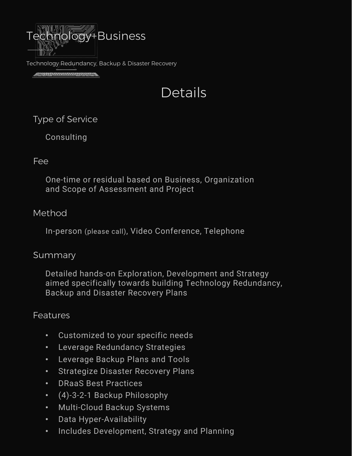

Technology Redundancy, Backup & Disaster Recovery

<u> 1999 - Parameter Maria Ba</u>

# Details

Type of Service

Consulting

#### Fee

One-time or residual based on Business, Organization and Scope of Assessment and Project

## Method

In-person (please call), Video Conference, Telephone

#### **Summary**

Detailed hands-on Exploration, Development and Strategy aimed specifically towards building Technology Redundancy, Backup and Disaster Recovery Plans

## Features

- Customized to your specific needs
- Leverage Redundancy Strategies
- Leverage Backup Plans and Tools
- Strategize Disaster Recovery Plans
- DRaaS Best Practices
- (4)-3-2-1 Backup Philosophy
- Multi-Cloud Backup Systems
- Data Hyper-Availability
- Includes Development, Strategy and Planning